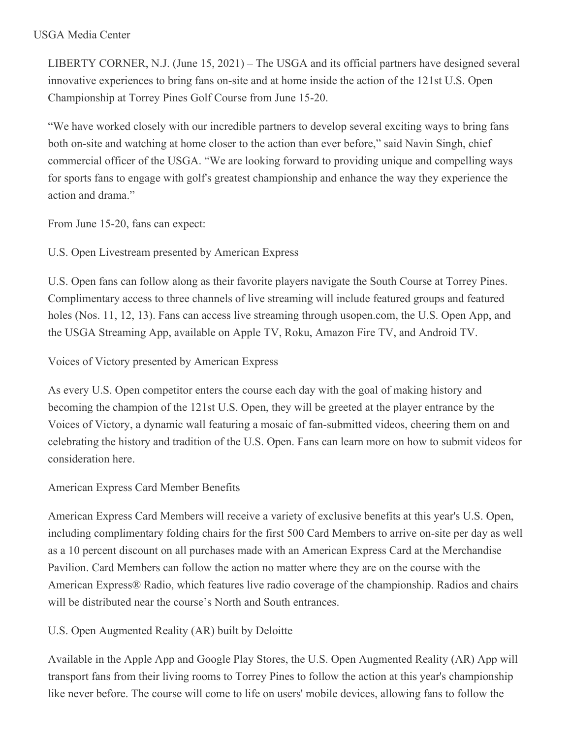### USGA Media Center

LIBERTY CORNER, N.J. (June 15, 2021) – The USGA and its official partners have designed several innovative experiences to bring fans on-site and at home inside the action of the 121st U.S. Open Championship at Torrey Pines Golf Course from June 15-20.

"We have worked closely with our incredible partners to develop several exciting ways to bring fans both on-site and watching at home closer to the action than ever before," said Navin Singh, chief commercial officer of the USGA. "We are looking forward to providing unique and compelling ways for sports fans to engage with golf's greatest championship and enhance the way they experience the action and drama."

From June 15-20, fans can expect:

U.S. Open Livestream presented by American Express

U.S. Open fans can follow along as their favorite players navigate the South Course at Torrey Pines. Complimentary access to three channels of live streaming will include featured groups and featured holes (Nos. 11, 12, 13). Fans can access live streaming through usopen.com, the U.S. Open App, and the USGA Streaming App, available on Apple TV, Roku, Amazon Fire TV, and Android TV.

Voices of Victory presented by American Express

As every U.S. Open competitor enters the course each day with the goal of making history and becoming the champion of the 121st U.S. Open, they will be greeted at the player entrance by the Voices of Victory, a dynamic wall featuring a mosaic of fan-submitted videos, cheering them on and celebrating the history and tradition of the U.S. Open. Fans can learn more on how to submit videos for consideration here.

### American Express Card Member Benefits

American Express Card Members will receive a variety of exclusive benefits at this year's U.S. Open, including complimentary folding chairs for the first 500 Card Members to arrive on-site per day as well as a 10 percent discount on all purchases made with an American Express Card at the Merchandise Pavilion. Card Members can follow the action no matter where they are on the course with the American Express® Radio, which features live radio coverage of the championship. Radios and chairs will be distributed near the course's North and South entrances.

U.S. Open Augmented Reality (AR) built by Deloitte

Available in the Apple App and Google Play Stores, the U.S. Open Augmented Reality (AR) App will transport fans from their living rooms to Torrey Pines to follow the action at this year's championship like never before. The course will come to life on users' mobile devices, allowing fans to follow the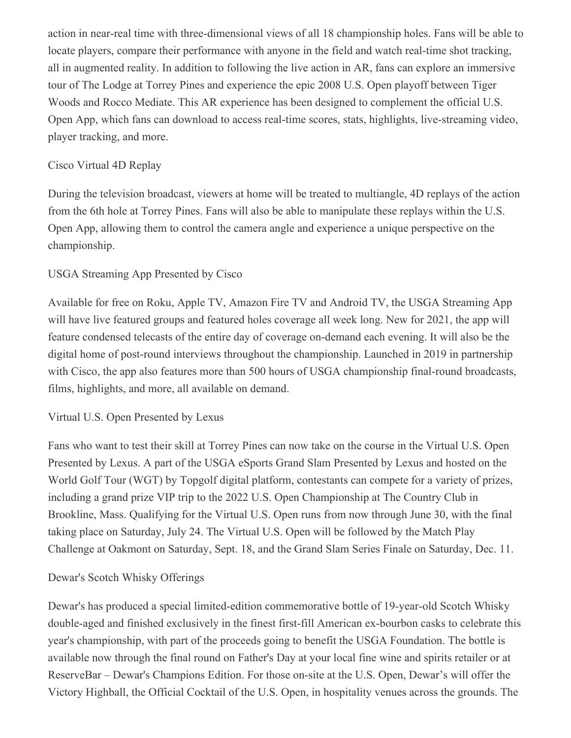action in near-real time with three-dimensional views of all 18 championship holes. Fans will be able to locate players, compare their performance with anyone in the field and watch real-time shot tracking, all in augmented reality. In addition to following the live action in AR, fans can explore an immersive tour of The Lodge at Torrey Pines and experience the epic 2008 U.S. Open playoff between Tiger Woods and Rocco Mediate. This AR experience has been designed to complement the official U.S. Open App, which fans can download to access real-time scores, stats, highlights, live-streaming video, player tracking, and more.

### Cisco Virtual 4D Replay

During the television broadcast, viewers at home will be treated to multiangle, 4D replays of the action from the 6th hole at Torrey Pines. Fans will also be able to manipulate these replays within the U.S. Open App, allowing them to control the camera angle and experience a unique perspective on the championship.

### USGA Streaming App Presented by Cisco

Available for free on Roku, Apple TV, Amazon Fire TV and Android TV, the USGA Streaming App will have live featured groups and featured holes coverage all week long. New for 2021, the app will feature condensed telecasts of the entire day of coverage on-demand each evening. It will also be the digital home of post-round interviews throughout the championship. Launched in 2019 in partnership with Cisco, the app also features more than 500 hours of USGA championship final-round broadcasts, films, highlights, and more, all available on demand.

### Virtual U.S. Open Presented by Lexus

Fans who want to test their skill at Torrey Pines can now take on the course in the Virtual U.S. Open Presented by Lexus. A part of the USGA eSports Grand Slam Presented by Lexus and hosted on the World Golf Tour (WGT) by Topgolf digital platform, contestants can compete for a variety of prizes, including a grand prize VIP trip to the 2022 U.S. Open Championship at The Country Club in Brookline, Mass. Qualifying for the Virtual U.S. Open runs from now through June 30, with the final taking place on Saturday, July 24. The Virtual U.S. Open will be followed by the Match Play Challenge at Oakmont on Saturday, Sept. 18, and the Grand Slam Series Finale on Saturday, Dec. 11.

### Dewar's Scotch Whisky Offerings

Dewar's has produced a special limited-edition commemorative bottle of 19-year-old Scotch Whisky double-aged and finished exclusively in the finest first-fill American ex-bourbon casks to celebrate this year's championship, with part of the proceeds going to benefit the USGA Foundation. The bottle is available now through the final round on Father's Day at your local fine wine and spirits retailer or at ReserveBar – Dewar's Champions Edition. For those on-site at the U.S. Open, Dewar's will offer the Victory Highball, the Official Cocktail of the U.S. Open, in hospitality venues across the grounds. The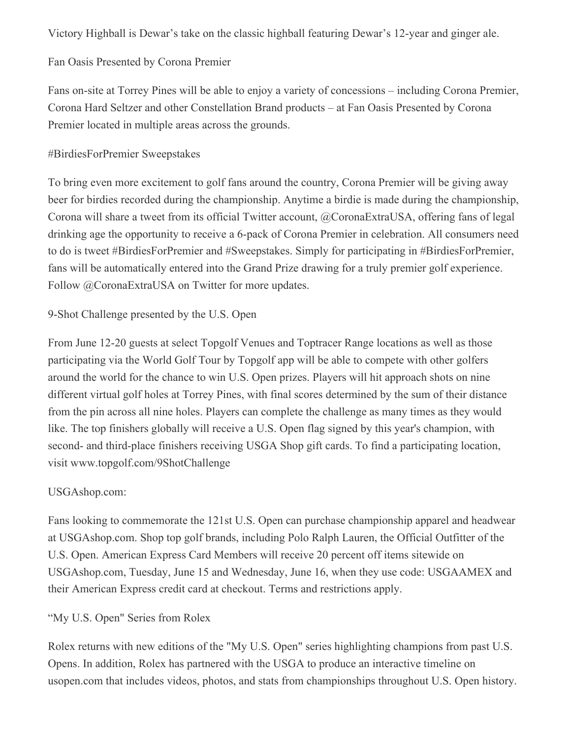Victory Highball is Dewar's take on the classic highball featuring Dewar's 12-year and ginger ale.

# Fan Oasis Presented by Corona Premier

Fans on-site at Torrey Pines will be able to enjoy a variety of concessions – including Corona Premier, Corona Hard Seltzer and other Constellation Brand products – at Fan Oasis Presented by Corona Premier located in multiple areas across the grounds.

# #BirdiesForPremier Sweepstakes

To bring even more excitement to golf fans around the country, Corona Premier will be giving away beer for birdies recorded during the championship. Anytime a birdie is made during the championship, Corona will share a tweet from its official Twitter account, @CoronaExtraUSA, offering fans of legal drinking age the opportunity to receive a 6-pack of Corona Premier in celebration. All consumers need to do is tweet #BirdiesForPremier and #Sweepstakes. Simply for participating in #BirdiesForPremier, fans will be automatically entered into the Grand Prize drawing for a truly premier golf experience. Follow @CoronaExtraUSA on Twitter for more updates.

## 9-Shot Challenge presented by the U.S. Open

From June 12-20 guests at select Topgolf Venues and Toptracer Range locations as well as those participating via the World Golf Tour by Topgolf app will be able to compete with other golfers around the world for the chance to win U.S. Open prizes. Players will hit approach shots on nine different virtual golf holes at Torrey Pines, with final scores determined by the sum of their distance from the pin across all nine holes. Players can complete the challenge as many times as they would like. The top finishers globally will receive a U.S. Open flag signed by this year's champion, with second- and third-place finishers receiving USGA Shop gift cards. To find a participating location, visit www.topgolf.com/9ShotChallenge

## USGAshop.com:

Fans looking to commemorate the 121st U.S. Open can purchase championship apparel and headwear at USGAshop.com. Shop top golf brands, including Polo Ralph Lauren, the Official Outfitter of the U.S. Open. American Express Card Members will receive 20 percent off items sitewide on USGAshop.com, Tuesday, June 15 and Wednesday, June 16, when they use code: USGAAMEX and their American Express credit card at checkout. Terms and restrictions apply.

# "My U.S. Open" Series from Rolex

Rolex returns with new editions of the "My U.S. Open" series highlighting champions from past U.S. Opens. In addition, Rolex has partnered with the USGA to produce an interactive timeline on usopen.com that includes videos, photos, and stats from championships throughout U.S. Open history.